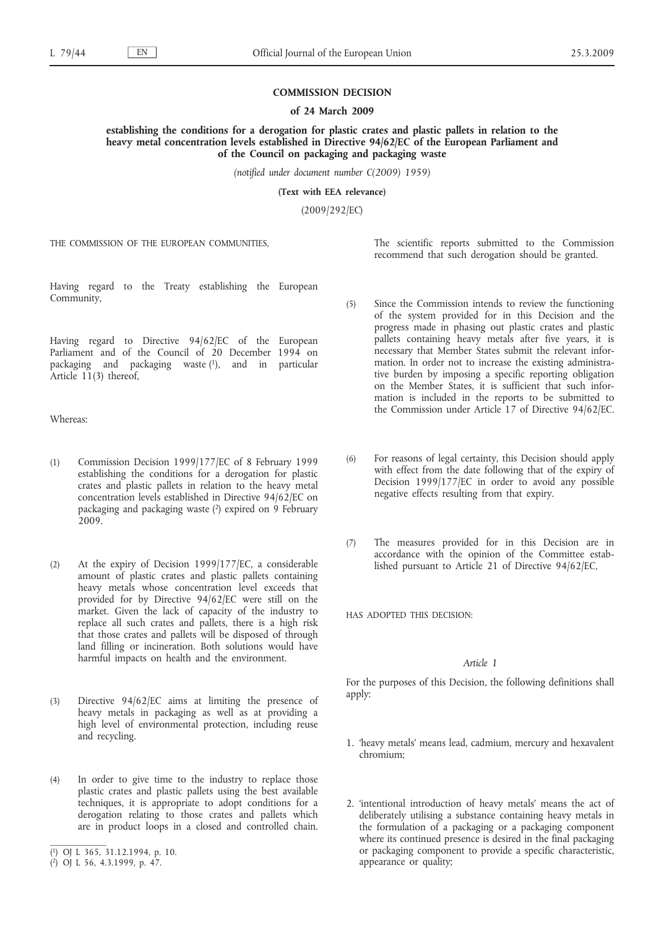### **COMMISSION DECISION**

#### **of 24 March 2009**

**establishing the conditions for a derogation for plastic crates and plastic pallets in relation to the heavy metal concentration levels established in Directive 94/62/EC of the European Parliament and of the Council on packaging and packaging waste**

*(notified under document number C(2009) 1959)*

**(Text with EEA relevance)**

(2009/292/EC)

THE COMMISSION OF THE EUROPEAN COMMUNITIES

The scientific reports submitted to the Commission recommend that such derogation should be granted.

Having regard to the Treaty establishing the European Community,

Having regard to Directive 94/62/EC of the European Parliament and of the Council of 20 December 1994 on packaging and packaging waste  $(1)$ , and in particular Article 11(3) thereof,

Whereas:

- (1) Commission Decision 1999/177/EC of 8 February 1999 establishing the conditions for a derogation for plastic crates and plastic pallets in relation to the heavy metal concentration levels established in Directive 94/62/EC on packaging and packaging waste (2) expired on 9 February 2009.
- (2) At the expiry of Decision 1999/177/EC, a considerable amount of plastic crates and plastic pallets containing heavy metals whose concentration level exceeds that provided for by Directive 94/62/EC were still on the market. Given the lack of capacity of the industry to replace all such crates and pallets, there is a high risk that those crates and pallets will be disposed of through land filling or incineration. Both solutions would have harmful impacts on health and the environment.
- (3) Directive 94/62/EC aims at limiting the presence of heavy metals in packaging as well as at providing a high level of environmental protection, including reuse and recycling.
- (4) In order to give time to the industry to replace those plastic crates and plastic pallets using the best available techniques, it is appropriate to adopt conditions for a derogation relating to those crates and pallets which are in product loops in a closed and controlled chain.
- (5) Since the Commission intends to review the functioning of the system provided for in this Decision and the progress made in phasing out plastic crates and plastic pallets containing heavy metals after five years, it is necessary that Member States submit the relevant information. In order not to increase the existing administrative burden by imposing a specific reporting obligation on the Member States, it is sufficient that such information is included in the reports to be submitted to the Commission under Article 17 of Directive 94/62/EC.
- (6) For reasons of legal certainty, this Decision should apply with effect from the date following that of the expiry of Decision 1999/177/EC in order to avoid any possible negative effects resulting from that expiry.
- (7) The measures provided for in this Decision are in accordance with the opinion of the Committee established pursuant to Article 21 of Directive 94/62/EC,

HAS ADOPTED THIS DECISION:

# *Article 1*

For the purposes of this Decision, the following definitions shall apply:

- 1. 'heavy metals' means lead, cadmium, mercury and hexavalent chromium;
- 2. 'intentional introduction of heavy metals' means the act of deliberately utilising a substance containing heavy metals in the formulation of a packaging or a packaging component where its continued presence is desired in the final packaging or packaging component to provide a specific characteristic, appearance or quality;

<sup>(</sup> 1) OJ L 365, 31.12.1994, p. 10.

<sup>(</sup> 2) OJ L 56, 4.3.1999, p. 47.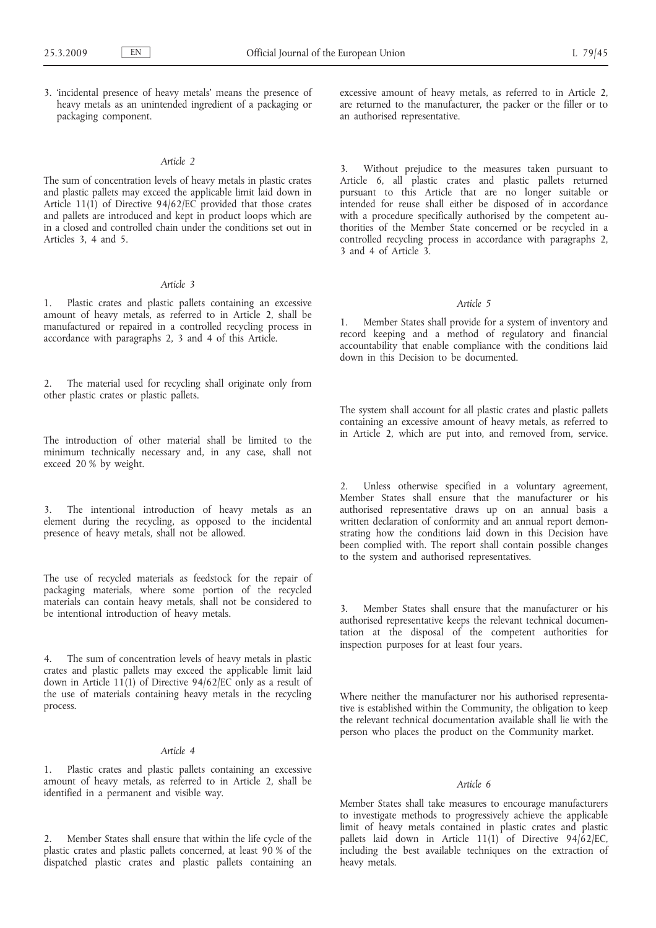3. 'incidental presence of heavy metals' means the presence of heavy metals as an unintended ingredient of a packaging or packaging component.

# *Article 2*

The sum of concentration levels of heavy metals in plastic crates and plastic pallets may exceed the applicable limit laid down in Article 11(1) of Directive 94/62/EC provided that those crates and pallets are introduced and kept in product loops which are in a closed and controlled chain under the conditions set out in Articles 3, 4 and 5.

# *Article 3*

1. Plastic crates and plastic pallets containing an excessive amount of heavy metals, as referred to in Article 2, shall be manufactured or repaired in a controlled recycling process in accordance with paragraphs 2, 3 and 4 of this Article.

2. The material used for recycling shall originate only from other plastic crates or plastic pallets.

The introduction of other material shall be limited to the minimum technically necessary and, in any case, shall not exceed 20 % by weight.

3. The intentional introduction of heavy metals as an element during the recycling, as opposed to the incidental presence of heavy metals, shall not be allowed.

The use of recycled materials as feedstock for the repair of packaging materials, where some portion of the recycled materials can contain heavy metals, shall not be considered to be intentional introduction of heavy metals.

4. The sum of concentration levels of heavy metals in plastic crates and plastic pallets may exceed the applicable limit laid down in Article 11(1) of Directive  $94/62/EC$  only as a result of the use of materials containing heavy metals in the recycling process.

### *Article 4*

Plastic crates and plastic pallets containing an excessive amount of heavy metals, as referred to in Article 2, shall be identified in a permanent and visible way.

2. Member States shall ensure that within the life cycle of the plastic crates and plastic pallets concerned, at least 90 % of the dispatched plastic crates and plastic pallets containing an

excessive amount of heavy metals, as referred to in Article 2, are returned to the manufacturer, the packer or the filler or to an authorised representative.

3. Without prejudice to the measures taken pursuant to Article 6, all plastic crates and plastic pallets returned pursuant to this Article that are no longer suitable or intended for reuse shall either be disposed of in accordance with a procedure specifically authorised by the competent authorities of the Member State concerned or be recycled in a controlled recycling process in accordance with paragraphs 2, 3 and 4 of Article 3.

#### *Article 5*

1. Member States shall provide for a system of inventory and record keeping and a method of regulatory and financial accountability that enable compliance with the conditions laid down in this Decision to be documented.

The system shall account for all plastic crates and plastic pallets containing an excessive amount of heavy metals, as referred to in Article 2, which are put into, and removed from, service.

2. Unless otherwise specified in a voluntary agreement, Member States shall ensure that the manufacturer or his authorised representative draws up on an annual basis a written declaration of conformity and an annual report demonstrating how the conditions laid down in this Decision have been complied with. The report shall contain possible changes to the system and authorised representatives.

3. Member States shall ensure that the manufacturer or his authorised representative keeps the relevant technical documentation at the disposal of the competent authorities for inspection purposes for at least four years.

Where neither the manufacturer nor his authorised representative is established within the Community, the obligation to keep the relevant technical documentation available shall lie with the person who places the product on the Community market.

### *Article 6*

Member States shall take measures to encourage manufacturers to investigate methods to progressively achieve the applicable limit of heavy metals contained in plastic crates and plastic pallets laid down in Article  $11(1)$  of Directive 94/62/EC, including the best available techniques on the extraction of heavy metals.